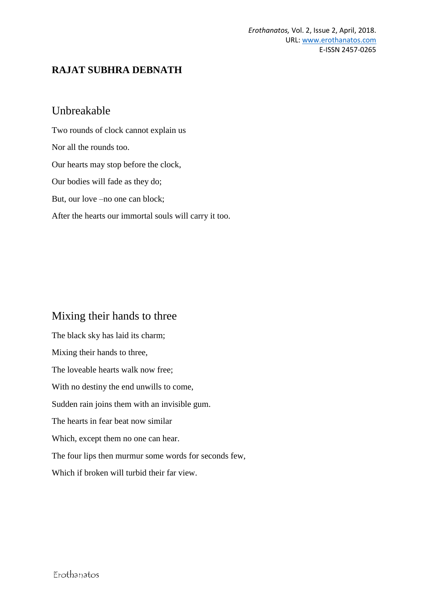## **RAJAT SUBHRA DEBNATH**

## Unbreakable

Two rounds of clock cannot explain us Nor all the rounds too. Our hearts may stop before the clock, Our bodies will fade as they do; But, our love –no one can block; After the hearts our immortal souls will carry it too.

# Mixing their hands to three

The black sky has laid its charm; Mixing their hands to three, The loveable hearts walk now free; With no destiny the end unwills to come, Sudden rain joins them with an invisible gum. The hearts in fear beat now similar Which, except them no one can hear. The four lips then murmur some words for seconds few, Which if broken will turbid their far view.